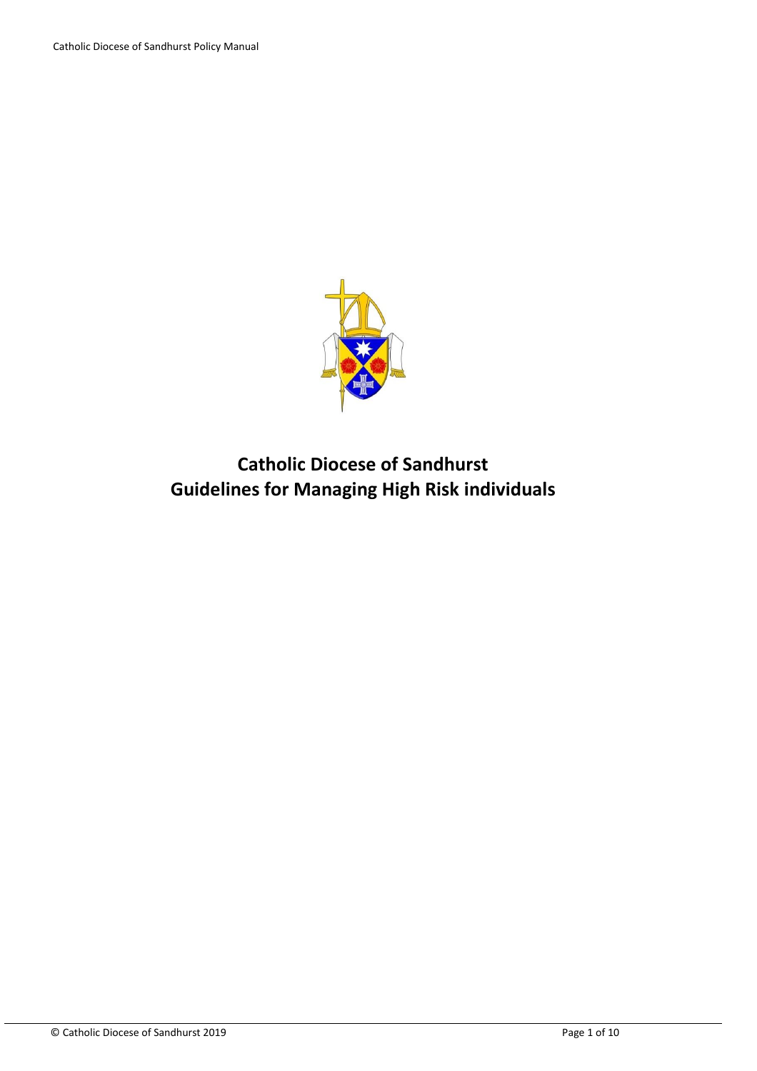

# **Catholic Diocese of Sandhurst Guidelines for Managing High Risk individuals**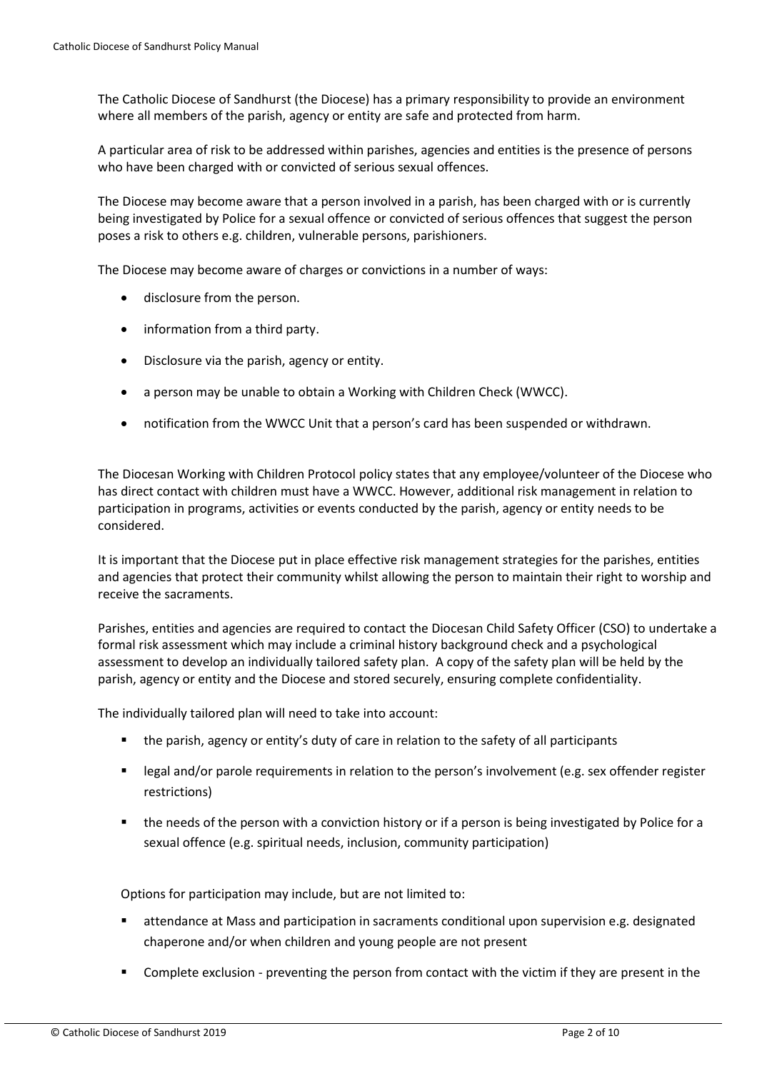The Catholic Diocese of Sandhurst (the Diocese) has a primary responsibility to provide an environment where all members of the parish, agency or entity are safe and protected from harm.

A particular area of risk to be addressed within parishes, agencies and entities is the presence of persons who have been charged with or convicted of serious sexual offences.

The Diocese may become aware that a person involved in a parish, has been charged with or is currently being investigated by Police for a sexual offence or convicted of serious offences that suggest the person poses a risk to others e.g. children, vulnerable persons, parishioners.

The Diocese may become aware of charges or convictions in a number of ways:

- disclosure from the person.
- information from a third party.
- Disclosure via the parish, agency or entity.
- a person may be unable to obtain a Working with Children Check (WWCC).
- notification from the WWCC Unit that a person's card has been suspended or withdrawn.

The Diocesan Working with Children Protocol policy states that any employee/volunteer of the Diocese who has direct contact with children must have a WWCC. However, additional risk management in relation to participation in programs, activities or events conducted by the parish, agency or entity needs to be considered.

It is important that the Diocese put in place effective risk management strategies for the parishes, entities and agencies that protect their community whilst allowing the person to maintain their right to worship and receive the sacraments.

Parishes, entities and agencies are required to contact the Diocesan Child Safety Officer (CSO) to undertake a formal risk assessment which may include a criminal history background check and a psychological assessment to develop an individually tailored safety plan. A copy of the safety plan will be held by the parish, agency or entity and the Diocese and stored securely, ensuring complete confidentiality.

The individually tailored plan will need to take into account:

- the parish, agency or entity's duty of care in relation to the safety of all participants
- legal and/or parole requirements in relation to the person's involvement (e.g. sex offender register restrictions)
- **the needs of the person with a conviction history or if a person is being investigated by Police for a** sexual offence (e.g. spiritual needs, inclusion, community participation)

Options for participation may include, but are not limited to:

- attendance at Mass and participation in sacraments conditional upon supervision e.g. designated chaperone and/or when children and young people are not present
- Complete exclusion preventing the person from contact with the victim if they are present in the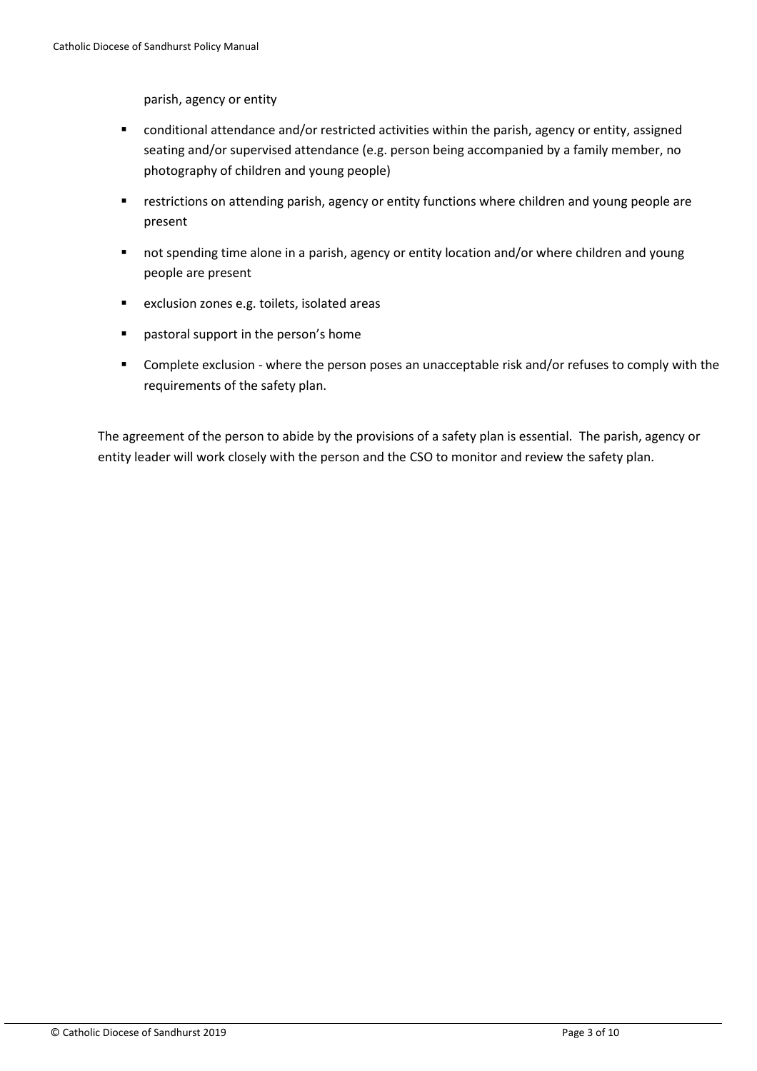parish, agency or entity

- conditional attendance and/or restricted activities within the parish, agency or entity, assigned seating and/or supervised attendance (e.g. person being accompanied by a family member, no photography of children and young people)
- **F** restrictions on attending parish, agency or entity functions where children and young people are present
- not spending time alone in a parish, agency or entity location and/or where children and young people are present
- exclusion zones e.g. toilets, isolated areas
- pastoral support in the person's home
- **Complete exclusion where the person poses an unacceptable risk and/or refuses to comply with the** requirements of the safety plan.

The agreement of the person to abide by the provisions of a safety plan is essential. The parish, agency or entity leader will work closely with the person and the CSO to monitor and review the safety plan.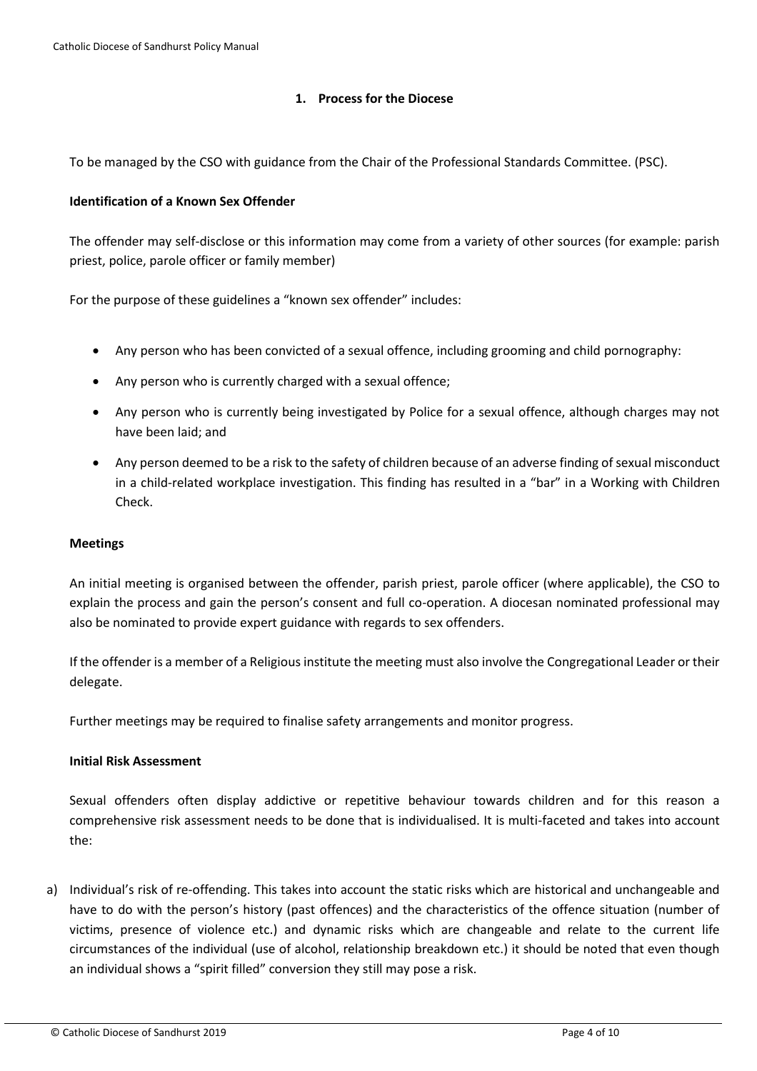# **1. Process for the Diocese**

To be managed by the CSO with guidance from the Chair of the Professional Standards Committee. (PSC).

## **Identification of a Known Sex Offender**

The offender may self-disclose or this information may come from a variety of other sources (for example: parish priest, police, parole officer or family member)

For the purpose of these guidelines a "known sex offender" includes:

- Any person who has been convicted of a sexual offence, including grooming and child pornography:
- Any person who is currently charged with a sexual offence;
- Any person who is currently being investigated by Police for a sexual offence, although charges may not have been laid; and
- Any person deemed to be a risk to the safety of children because of an adverse finding of sexual misconduct in a child-related workplace investigation. This finding has resulted in a "bar" in a Working with Children Check.

#### **Meetings**

An initial meeting is organised between the offender, parish priest, parole officer (where applicable), the CSO to explain the process and gain the person's consent and full co-operation. A diocesan nominated professional may also be nominated to provide expert guidance with regards to sex offenders.

If the offender is a member of a Religious institute the meeting must also involve the Congregational Leader or their delegate.

Further meetings may be required to finalise safety arrangements and monitor progress.

#### **Initial Risk Assessment**

Sexual offenders often display addictive or repetitive behaviour towards children and for this reason a comprehensive risk assessment needs to be done that is individualised. It is multi-faceted and takes into account the:

a) Individual's risk of re-offending. This takes into account the static risks which are historical and unchangeable and have to do with the person's history (past offences) and the characteristics of the offence situation (number of victims, presence of violence etc.) and dynamic risks which are changeable and relate to the current life circumstances of the individual (use of alcohol, relationship breakdown etc.) it should be noted that even though an individual shows a "spirit filled" conversion they still may pose a risk.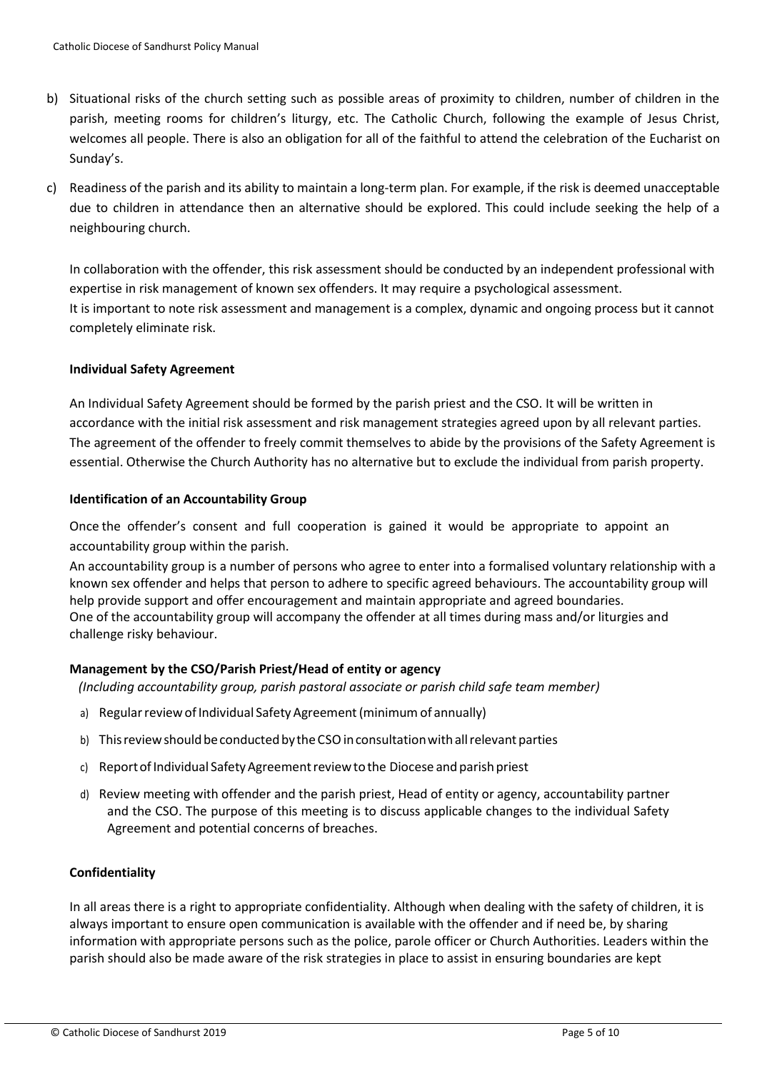- b) Situational risks of the church setting such as possible areas of proximity to children, number of children in the parish, meeting rooms for children's liturgy, etc. The Catholic Church, following the example of Jesus Christ, welcomes all people. There is also an obligation for all of the faithful to attend the celebration of the Eucharist on Sunday's.
- c) Readiness of the parish and its ability to maintain a long-term plan. For example, if the risk is deemed unacceptable due to children in attendance then an alternative should be explored. This could include seeking the help of a neighbouring church.

In collaboration with the offender, this risk assessment should be conducted by an independent professional with expertise in risk management of known sex offenders. It may require a psychological assessment. It is important to note risk assessment and management is a complex, dynamic and ongoing process but it cannot completely eliminate risk.

# **Individual Safety Agreement**

An Individual Safety Agreement should be formed by the parish priest and the CSO. It will be written in accordance with the initial risk assessment and risk management strategies agreed upon by all relevant parties. The agreement of the offender to freely commit themselves to abide by the provisions of the Safety Agreement is essential. Otherwise the Church Authority has no alternative but to exclude the individual from parish property.

# **Identification of an Accountability Group**

Once the offender's consent and full cooperation is gained it would be appropriate to appoint an accountability group within the parish.

An accountability group is a number of persons who agree to enter into a formalised voluntary relationship with a known sex offender and helps that person to adhere to specific agreed behaviours. The accountability group will help provide support and offer encouragement and maintain appropriate and agreed boundaries. One of the accountability group will accompany the offender at all times during mass and/or liturgies and challenge risky behaviour.

# **Management by the CSO/Parish Priest/Head of entity or agency**

*(Including accountability group, parish pastoral associate or parish child safe team member)*

- a) Regular review of Individual Safety Agreement (minimum of annually)
- b) This review should be conducted by the CSO in consultation with all relevant parties
- c) Report of Individual Safety Agreement review to the Diocese and parish priest
- d) Review meeting with offender and the parish priest, Head of entity or agency, accountability partner and the CSO. The purpose of this meeting is to discuss applicable changes to the individual Safety Agreement and potential concerns of breaches.

# **Confidentiality**

In all areas there is a right to appropriate confidentiality. Although when dealing with the safety of children, it is always important to ensure open communication is available with the offender and if need be, by sharing information with appropriate persons such as the police, parole officer or Church Authorities. Leaders within the parish should also be made aware of the risk strategies in place to assist in ensuring boundaries are kept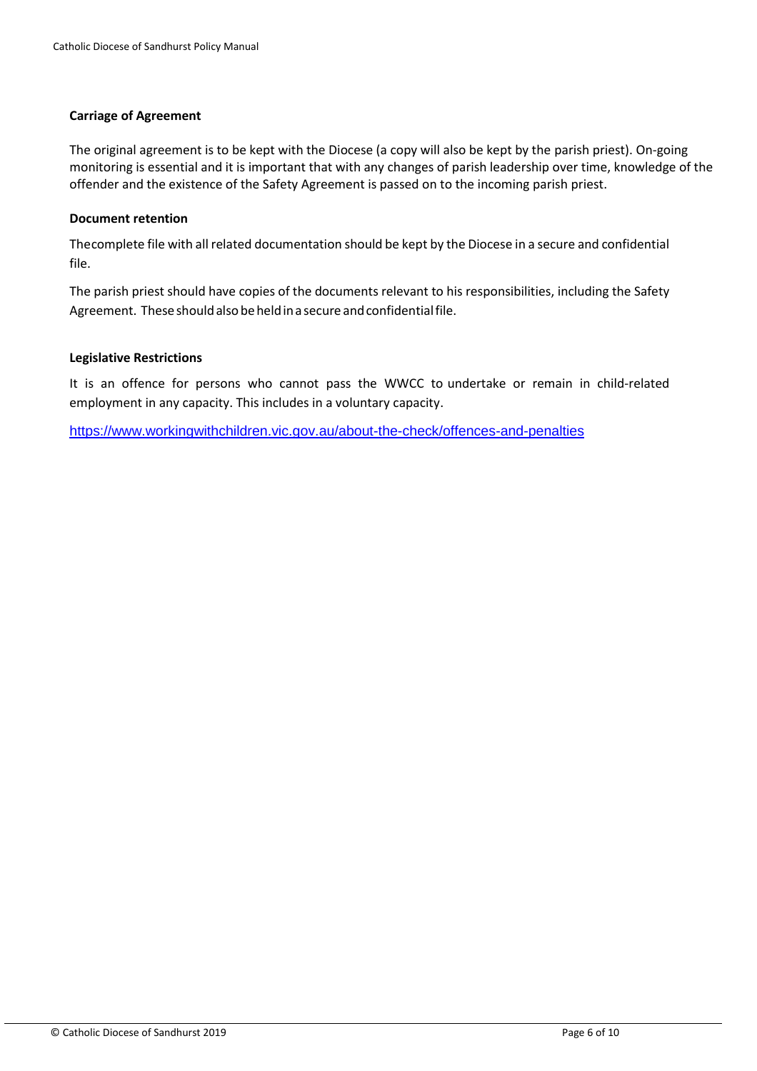#### **Carriage of Agreement**

The original agreement is to be kept with the Diocese (a copy will also be kept by the parish priest). On-going monitoring is essential and it is important that with any changes of parish leadership over time, knowledge of the offender and the existence of the Safety Agreement is passed on to the incoming parish priest.

#### **Document retention**

Thecomplete file with all related documentation should be kept by the Diocese in a secure and confidential file.

The parish priest should have copies of the documents relevant to his responsibilities, including the Safety Agreement. These should also be held in a secure and confidential file.

#### **Legislative Restrictions**

It is an offence for persons who cannot pass the WWCC to undertake or remain in child-related employment in any capacity. This includes in a voluntary capacity.

<https://www.workingwithchildren.vic.gov.au/about-the-check/offences-and-penalties>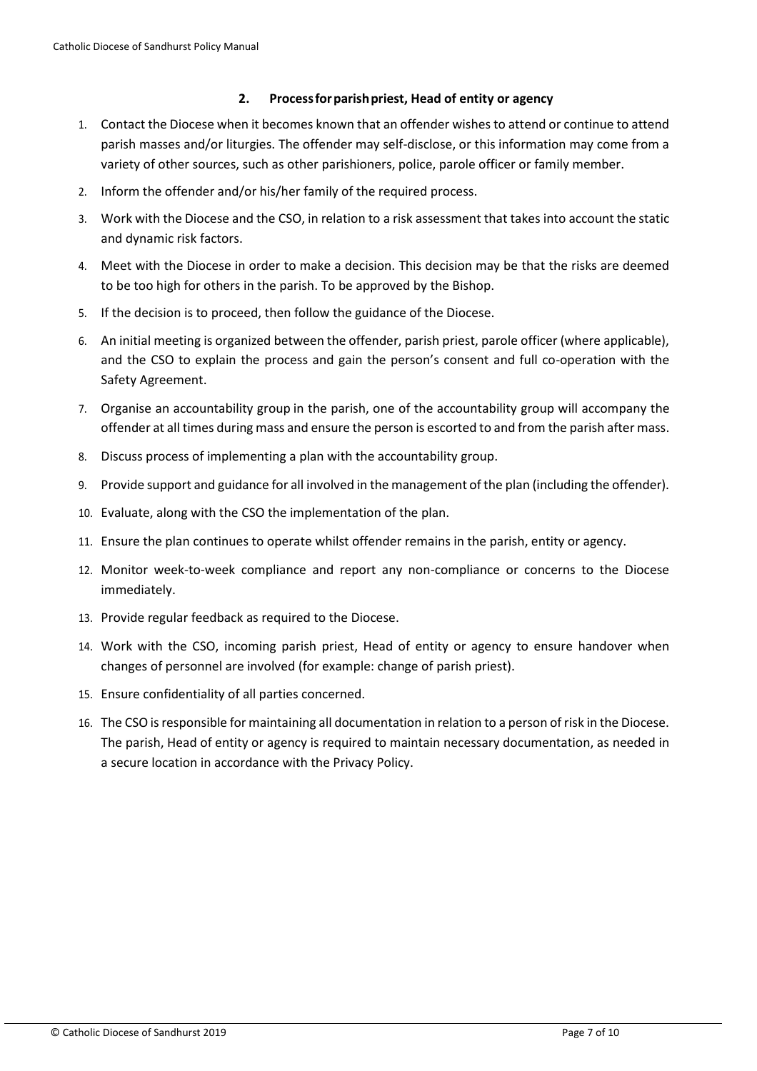# **2. Processforparishpriest, Head of entity or agency**

- 1. Contact the Diocese when it becomes known that an offender wishes to attend or continue to attend parish masses and/or liturgies. The offender may self-disclose, or this information may come from a variety of other sources, such as other parishioners, police, parole officer or family member.
- 2. Inform the offender and/or his/her family of the required process.
- 3. Work with the Diocese and the CSO, in relation to a risk assessment that takes into account the static and dynamic risk factors.
- 4. Meet with the Diocese in order to make a decision. This decision may be that the risks are deemed to be too high for others in the parish. To be approved by the Bishop.
- 5. If the decision is to proceed, then follow the guidance of the Diocese.
- 6. An initial meeting is organized between the offender, parish priest, parole officer (where applicable), and the CSO to explain the process and gain the person's consent and full co-operation with the Safety Agreement.
- 7. Organise an accountability group in the parish, one of the accountability group will accompany the offender at all times during mass and ensure the person is escorted to and from the parish after mass.
- 8. Discuss process of implementing a plan with the accountability group.
- 9. Provide support and guidance for all involved in the management of the plan (including the offender).
- 10. Evaluate, along with the CSO the implementation of the plan.
- 11. Ensure the plan continues to operate whilst offender remains in the parish, entity or agency.
- 12. Monitor week-to-week compliance and report any non-compliance or concerns to the Diocese immediately.
- 13. Provide regular feedback as required to the Diocese.
- 14. Work with the CSO, incoming parish priest, Head of entity or agency to ensure handover when changes of personnel are involved (for example: change of parish priest).
- 15. Ensure confidentiality of all parties concerned.
- 16. The CSO is responsible for maintaining all documentation in relation to a person of risk in the Diocese. The parish, Head of entity or agency is required to maintain necessary documentation, as needed in a secure location in accordance with the Privacy Policy.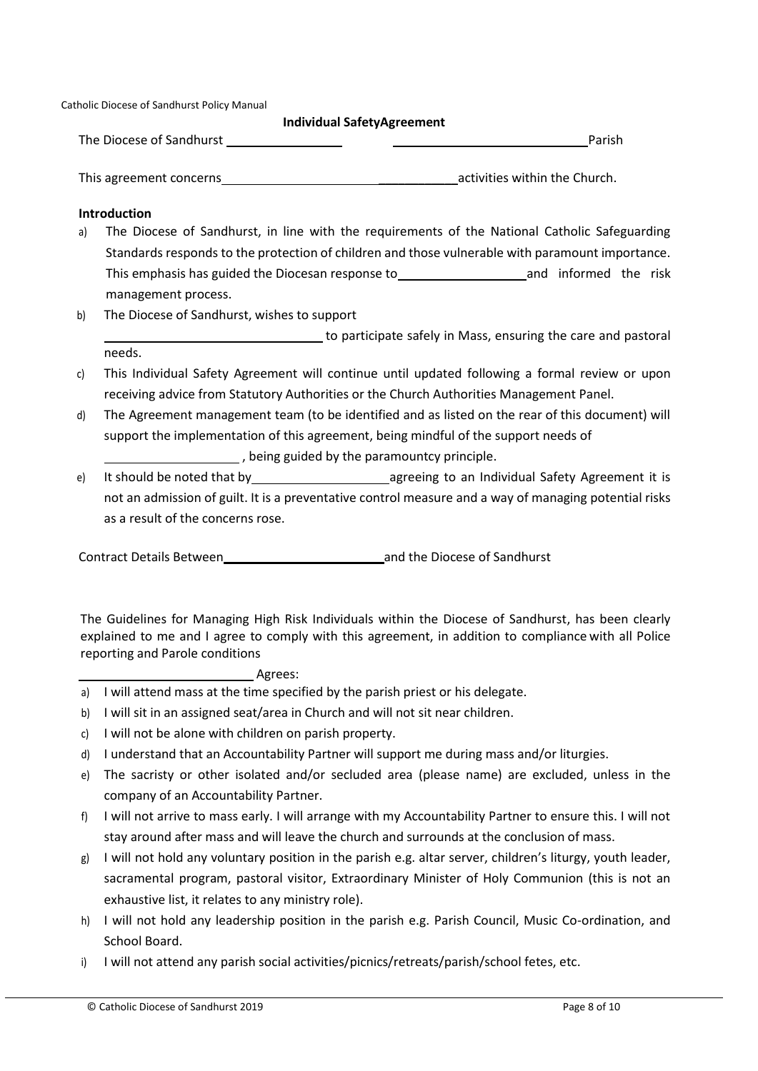Catholic Diocese of Sandhurst Policy Manual

#### **Individual SafetyAgreement**

The Diocese of Sandhurst **Parish** Parish

This agreement concerns **Exercise 20** activities within the Church.

#### **Introduction**

- a) The Diocese of Sandhurst, in line with the requirements of the National Catholic Safeguarding Standards responds to the protection of children and those vulnerable with paramount importance. This emphasis has guided the Diocesan response to This emphasis has guided the risk management process.
- b) The Diocese of Sandhurst, wishes to support

to participate safely in Mass, ensuring the care and pastoral needs.

- c) This Individual Safety Agreement will continue until updated following a formal review or upon receiving advice from Statutory Authorities or the Church Authorities Management Panel.
- d) The Agreement management team (to be identified and as listed on the rear of this document) will support the implementation of this agreement, being mindful of the support needs of , being guided by the paramountcy principle.
- e) It should be noted that by any agreeing to an Individual Safety Agreement it is not an admission of guilt. It is a preventative control measure and a way of managing potential risks as a result of the concerns rose.

Contract Details Between and the Diocese of Sandhurst

The Guidelines for Managing High Risk Individuals within the Diocese of Sandhurst, has been clearly explained to me and I agree to comply with this agreement, in addition to compliance with all Police reporting and Parole conditions

### Agrees:

- a) I will attend mass at the time specified by the parish priest or his delegate.
- b) I will sit in an assigned seat/area in Church and will not sit near children.
- c) I will not be alone with children on parish property.
- d) I understand that an Accountability Partner will support me during mass and/or liturgies.
- e) The sacristy or other isolated and/or secluded area (please name) are excluded, unless in the company of an Accountability Partner.
- f) I will not arrive to mass early. I will arrange with my Accountability Partner to ensure this. I will not stay around after mass and will leave the church and surrounds at the conclusion of mass.
- g) I will not hold any voluntary position in the parish e.g. altar server, children's liturgy, youth leader, sacramental program, pastoral visitor, Extraordinary Minister of Holy Communion (this is not an exhaustive list, it relates to any ministry role).
- h) I will not hold any leadership position in the parish e.g. Parish Council, Music Co-ordination, and School Board.
- i) I will not attend any parish social activities/picnics/retreats/parish/school fetes, etc.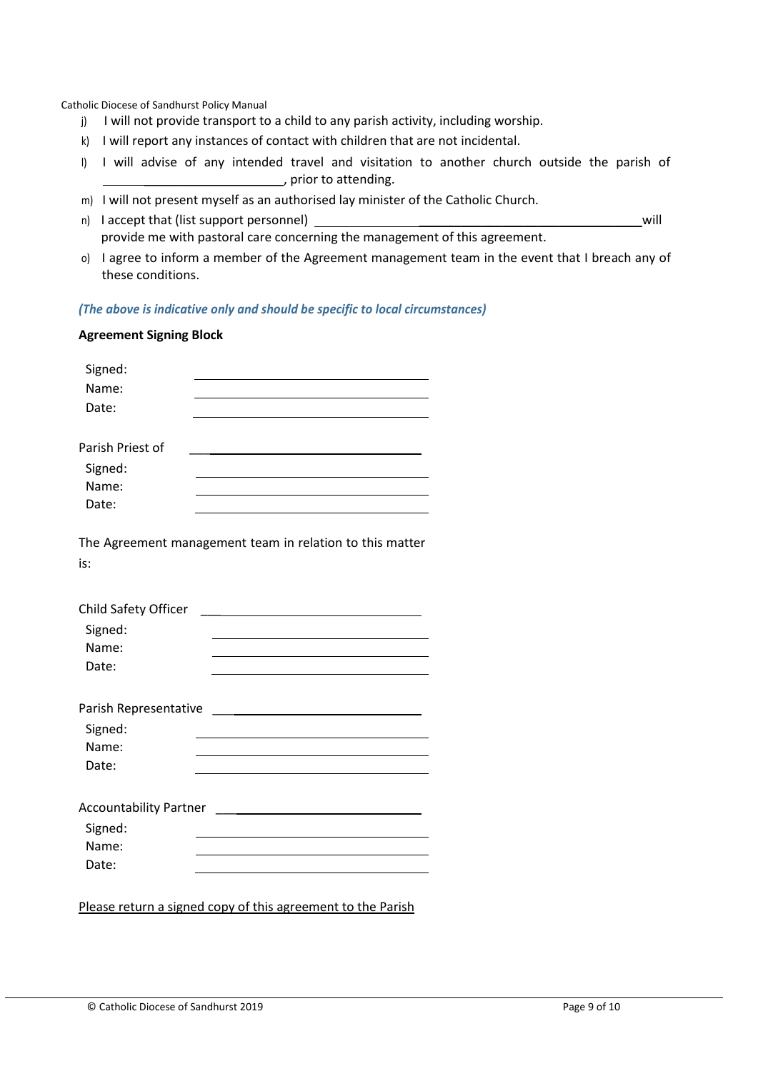Catholic Diocese of Sandhurst Policy Manual

- j) I will not provide transport to a child to any parish activity, including worship.
- k) I will report any instances of contact with children that are not incidental.
- l) I will advise of any intended travel and visitation to another church outside the parish of  $\sqrt{p}$  prior to attending.
- m) I will not present myself as an authorised lay minister of the Catholic Church.
- n) I accept that (list support personnel) and the set of the set of the set of the set of the set of the set of the set of the set of the set of the set of the set of the set of the set of the set of the set of the set of provide me with pastoral care concerning the management of this agreement.
- o) I agree to inform a member of the Agreement management team in the event that I breach any of these conditions.

*(The above is indicative only and should be specific to local circumstances)*

#### **Agreement Signing Block**

| Signed:          |  |  |
|------------------|--|--|
| Name:            |  |  |
| Date:            |  |  |
|                  |  |  |
| Parish Priest of |  |  |
| Signed:          |  |  |
| Name:            |  |  |
| Date:            |  |  |

The Agreement management team in relation to this matter is:

| Parish Representative         |  |
|-------------------------------|--|
| Signed:                       |  |
| Name:                         |  |
| Date:                         |  |
|                               |  |
| <b>Accountability Partner</b> |  |

| Signed: |  |
|---------|--|
| Name:   |  |
| Date:   |  |

Please return a signed copy of this agreement to the Parish